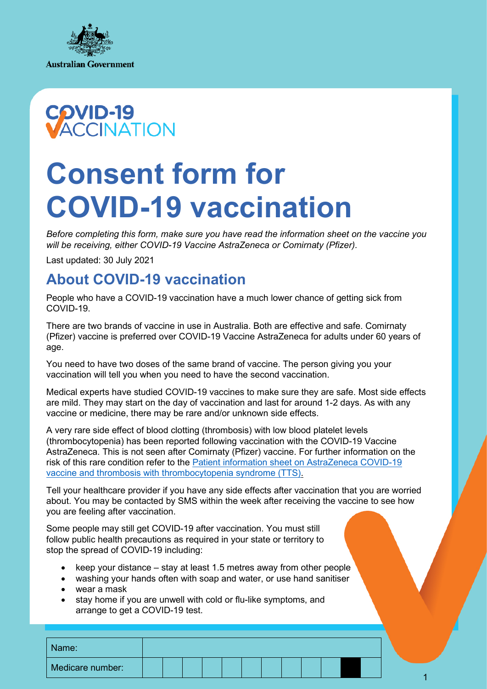



# **Consent form for COVID-19 vaccination**

*Before completing this form, make sure you have read the information sheet on the vaccine you*  will be receiving, either COVID-19 Vaccine AstraZeneca or Comirnaty (Pfizer).

Last updated: 30 July 2021

## **About COVID-19 vaccination**

People who have a COVID-19 vaccination have a much lower chance of getting sick from COVID-19.

There are two brands of vaccine in use in Australia. Both are effective and safe. Comirnaty (Pfizer) vaccine is preferred over COVID-19 Vaccine AstraZeneca for adults under 60 years of age.

You need to have two doses of the same brand of vaccine. The person giving you your vaccination will tell you when you need to have the second vaccination.

Medical experts have studied COVID-19 vaccines to make sure they are safe. Most side effects are mild. They may start on the day of vaccination and last for around 1-2 days. As with any vaccine or medicine, there may be rare and/or unknown side effects.

A very rare side effect of blood clotting (thrombosis) with low blood platelet levels (thrombocytopenia) has been reported following vaccination with the COVID-19 Vaccine AstraZeneca. This is not seen after Comirnaty (Pfizer) vaccine. For further information on the risk of this rare condition refer to the [Patient information sheet on AstraZeneca COVID-19](https://www.health.gov.au/resources/publications/patient-information-sheet-on-astrazeneca-covid-19-vaccine-and-thrombosis-with-thrombocytopenia-syndrome-tts)  [vaccine and thrombosis with thrombocytopenia syndrome \(TTS\).](https://www.health.gov.au/resources/publications/patient-information-sheet-on-astrazeneca-covid-19-vaccine-and-thrombosis-with-thrombocytopenia-syndrome-tts)

Tell your healthcare provider if you have any side effects after vaccination that you are worried about. You may be contacted by SMS within the week after receiving the vaccine to see how you are feeling after vaccination.

Some people may still get COVID-19 after vaccination. You must still follow public health precautions as required in your state or territory to stop the spread of COVID-19 including:

- keep your distance stay at least 1.5 metres away from other people
- washing your hands often with soap and water, or use hand sanitiser
- wear a mask
- stay home if you are unwell with cold or flu-like symptoms, and arrange to get a COVID-19 test.

| Medicare number: | Name: |  |  |  |  |  |  |  |
|------------------|-------|--|--|--|--|--|--|--|
|                  |       |  |  |  |  |  |  |  |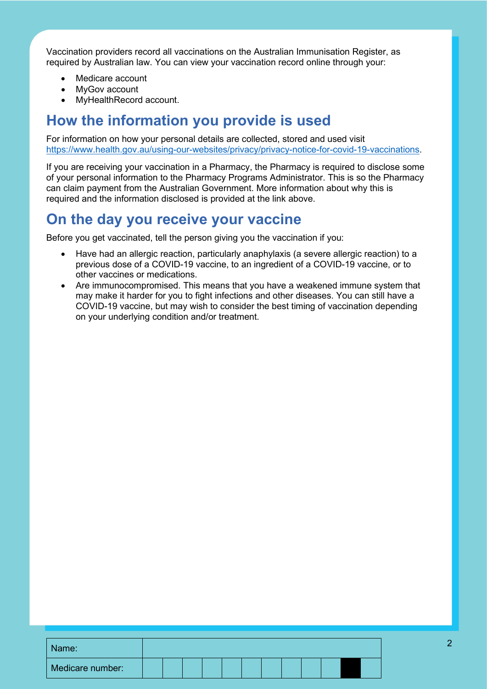Vaccination providers record all vaccinations on the Australian Immunisation Register, as required by Australian law. You can view your vaccination record online through your:

- Medicare account
- MyGov account
- MyHealthRecord account.

### **How the information you provide is used**

For information on how your personal details are collected, stored and used visit [https://www.health.gov.au/using-our-websites/privacy/privacy-notice-for-covid-19-vaccinations.](https://www.health.gov.au/using-our-websites/privacy/privacy-notice-for-covid-19-vaccinations)

If you are receiving your vaccination in a Pharmacy, the Pharmacy is required to disclose some of your personal information to the Pharmacy Programs Administrator. This is so the Pharmacy can claim payment from the Australian Government. More information about why this is required and the information disclosed is provided at the link above.

## **On the day you receive your vaccine**

Before you get vaccinated, tell the person giving you the vaccination if you:

- Have had an allergic reaction, particularly anaphylaxis (a severe allergic reaction) to a previous dose of a COVID-19 vaccine, to an ingredient of a COVID-19 vaccine, or to other vaccines or medications.
- Are immunocompromised. This means that you have a weakened immune system that may make it harder for you to fight infections and other diseases. You can still have a COVID-19 vaccine, but may wish to consider the best timing of vaccination depending on your underlying condition and/or treatment.

| Name:            |  |  |  |  |  |  |
|------------------|--|--|--|--|--|--|
| Medicare number: |  |  |  |  |  |  |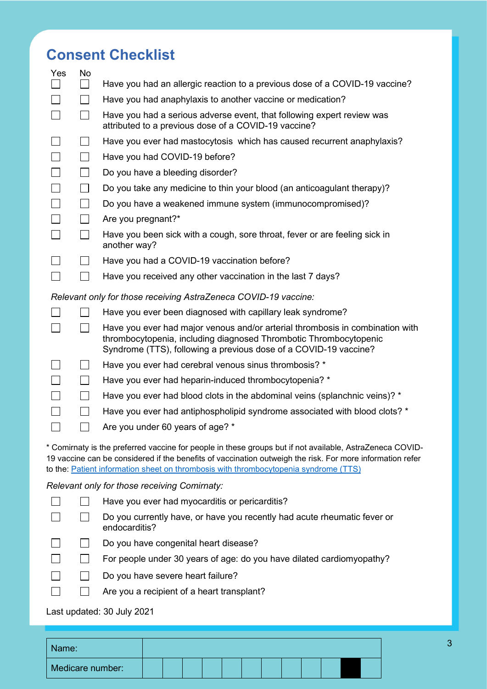# **Consent Checklist**

| Yes | No           |                                                                                                                                                                                                                                                                                                               |
|-----|--------------|---------------------------------------------------------------------------------------------------------------------------------------------------------------------------------------------------------------------------------------------------------------------------------------------------------------|
|     |              | Have you had an allergic reaction to a previous dose of a COVID-19 vaccine?                                                                                                                                                                                                                                   |
|     |              | Have you had anaphylaxis to another vaccine or medication?                                                                                                                                                                                                                                                    |
|     | $\mathbf{I}$ | Have you had a serious adverse event, that following expert review was<br>attributed to a previous dose of a COVID-19 vaccine?                                                                                                                                                                                |
|     |              | Have you ever had mastocytosis which has caused recurrent anaphylaxis?                                                                                                                                                                                                                                        |
|     | $\sim$ 1     | Have you had COVID-19 before?                                                                                                                                                                                                                                                                                 |
|     |              | Do you have a bleeding disorder?                                                                                                                                                                                                                                                                              |
|     |              | Do you take any medicine to thin your blood (an anticoagulant therapy)?                                                                                                                                                                                                                                       |
|     | $\mathbf{I}$ | Do you have a weakened immune system (immunocompromised)?                                                                                                                                                                                                                                                     |
|     |              | Are you pregnant?*                                                                                                                                                                                                                                                                                            |
|     |              | Have you been sick with a cough, sore throat, fever or are feeling sick in<br>another way?                                                                                                                                                                                                                    |
|     |              | Have you had a COVID-19 vaccination before?                                                                                                                                                                                                                                                                   |
|     |              | Have you received any other vaccination in the last 7 days?                                                                                                                                                                                                                                                   |
|     |              | Relevant only for those receiving AstraZeneca COVID-19 vaccine:                                                                                                                                                                                                                                               |
|     |              | Have you ever been diagnosed with capillary leak syndrome?                                                                                                                                                                                                                                                    |
|     |              | Have you ever had major venous and/or arterial thrombosis in combination with<br>thrombocytopenia, including diagnosed Thrombotic Thrombocytopenic<br>Syndrome (TTS), following a previous dose of a COVID-19 vaccine?                                                                                        |
|     |              | Have you ever had cerebral venous sinus thrombosis? *                                                                                                                                                                                                                                                         |
|     |              | Have you ever had heparin-induced thrombocytopenia? *                                                                                                                                                                                                                                                         |
|     |              | Have you ever had blood clots in the abdominal veins (splanchnic veins)? *                                                                                                                                                                                                                                    |
|     |              | Have you ever had antiphospholipid syndrome associated with blood clots? *                                                                                                                                                                                                                                    |
|     |              | Are you under 60 years of age? *                                                                                                                                                                                                                                                                              |
|     |              | * Comirnaty is the preferred vaccine for people in these groups but if not available, AstraZeneca COVID-<br>19 vaccine can be considered if the benefits of vaccination outweigh the risk. For more information refer<br>to the: Patient information sheet on thrombosis with thrombocytopenia syndrome (TTS) |
|     |              | Relevant only for those receiving Comirnaty:                                                                                                                                                                                                                                                                  |
|     |              | Have you ever had myocarditis or pericarditis?                                                                                                                                                                                                                                                                |
|     |              | Do you currently have, or have you recently had acute rheumatic fever or<br>endocarditis?                                                                                                                                                                                                                     |

- Do you have congenital heart disease?  $\Box$
- $\Box$ For people under 30 years of age: do you have dilated cardiomyopathy?
- $\Box$ Do you have severe heart failure?
	- $\Box$ Are you a recipient of a heart transplant?

Last updated: 30 July 2021

 $\Box$ 

| Name:            |  |  |  |  |  |  |
|------------------|--|--|--|--|--|--|
| Medicare number: |  |  |  |  |  |  |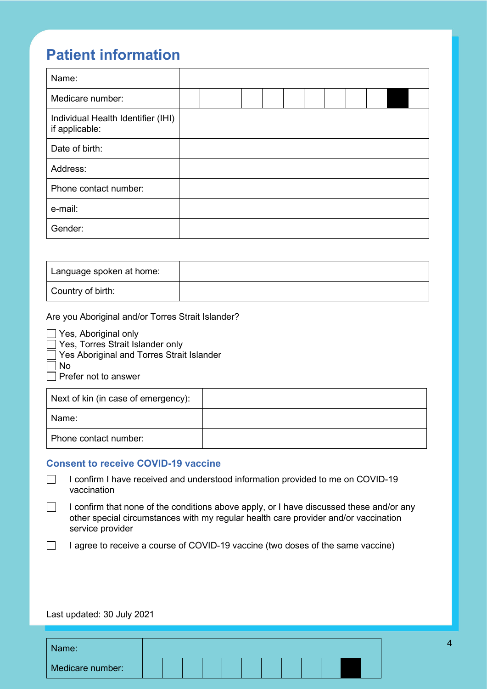## **Patient information**

| Name:                                                |  |  |  |  |  |  |
|------------------------------------------------------|--|--|--|--|--|--|
| Medicare number:                                     |  |  |  |  |  |  |
| Individual Health Identifier (IHI)<br>if applicable: |  |  |  |  |  |  |
| Date of birth:                                       |  |  |  |  |  |  |
| Address:                                             |  |  |  |  |  |  |
| Phone contact number:                                |  |  |  |  |  |  |
| e-mail:                                              |  |  |  |  |  |  |
| Gender:                                              |  |  |  |  |  |  |

| Language spoken at home: |  |
|--------------------------|--|
| Country of birth:        |  |

Are you Aboriginal and/or Torres Strait Islander?

| Yes, Aboriginal only                        |  |  |  |  |  |  |
|---------------------------------------------|--|--|--|--|--|--|
| Yes, Torres Strait Islander only            |  |  |  |  |  |  |
| □ Yes Aboriginal and Torres Strait Islander |  |  |  |  |  |  |
| $\Box$ No                                   |  |  |  |  |  |  |
| $\Box$ Prefer not to answer                 |  |  |  |  |  |  |
|                                             |  |  |  |  |  |  |

| Next of kin (in case of emergency): |  |
|-------------------------------------|--|
| l Name:                             |  |
| Phone contact number:               |  |

#### **Consent to receive COVID-19 vaccine**

 $\Box$ I confirm I have received and understood information provided to me on COVID-19 vaccination

- $\Box$ I confirm that none of the conditions above apply, or I have discussed these and/or any other special circumstances with my regular health care provider and/or vaccination service provider
- $\Box$ I agree to receive a course of COVID-19 vaccine (two doses of the same vaccine)

#### Last updated: 30 July 2021

| Name:            |  |  |  |  |  |  |
|------------------|--|--|--|--|--|--|
| Medicare number: |  |  |  |  |  |  |